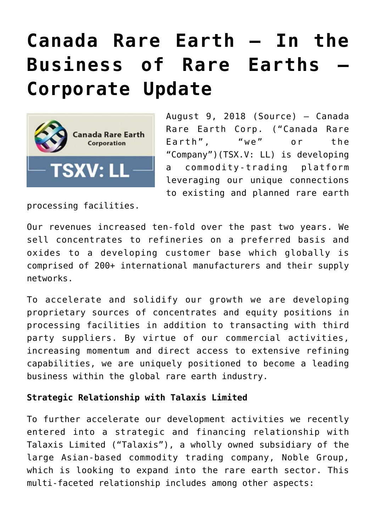# **[Canada Rare Earth – In the](https://investorintel.com/markets/technology-metals/technology-metals-news/canada-rare-earth-business-rare-earths-corporate-update/) [Business of Rare Earths –](https://investorintel.com/markets/technology-metals/technology-metals-news/canada-rare-earth-business-rare-earths-corporate-update/) [Corporate Update](https://investorintel.com/markets/technology-metals/technology-metals-news/canada-rare-earth-business-rare-earths-corporate-update/)**



August 9, 2018 ([Source\)](https://investorintel.com/iintel-members/canada-rare-earth-corporation/) — Canada Rare Earth Corp. ("Canada Rare Earth", "we" or the "Company")(TSX.V: LL) is developing a commodity-trading platform leveraging our unique connections to existing and planned rare earth

processing facilities.

Our revenues increased ten-fold over the past two years. We sell concentrates to refineries on a preferred basis and oxides to a developing customer base which globally is comprised of 200+ international manufacturers and their supply networks.

To accelerate and solidify our growth we are developing proprietary sources of concentrates and equity positions in processing facilities in addition to transacting with third party suppliers. By virtue of our commercial activities, increasing momentum and direct access to extensive refining capabilities, we are uniquely positioned to become a leading business within the global rare earth industry.

#### **Strategic Relationship with Talaxis Limited**

To further accelerate our development activities we recently entered into a strategic and financing relationship with Talaxis Limited ("Talaxis"), a wholly owned subsidiary of the large Asian-based commodity trading company, Noble Group, which is looking to expand into the rare earth sector. This multi-faceted relationship includes among other aspects: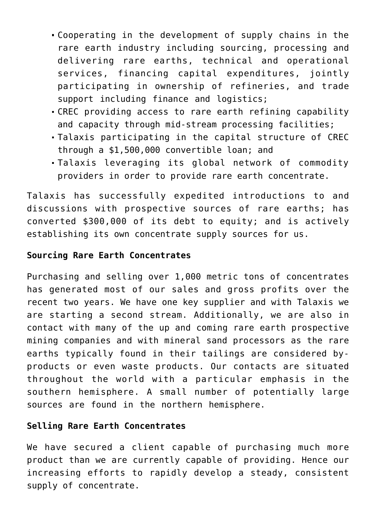- Cooperating in the development of supply chains in the rare earth industry including sourcing, processing and delivering rare earths, technical and operational services, financing capital expenditures, jointly participating in ownership of refineries, and trade support including finance and logistics;
- CREC providing access to rare earth refining capability and capacity through mid-stream processing facilities;
- Talaxis participating in the capital structure of CREC through a \$1,500,000 convertible loan; and
- Talaxis leveraging its global network of commodity providers in order to provide rare earth concentrate.

Talaxis has successfully expedited introductions to and discussions with prospective sources of rare earths; has converted \$300,000 of its debt to equity; and is actively establishing its own concentrate supply sources for us.

#### **Sourcing Rare Earth Concentrates**

Purchasing and selling over 1,000 metric tons of concentrates has generated most of our sales and gross profits over the recent two years. We have one key supplier and with Talaxis we are starting a second stream. Additionally, we are also in contact with many of the up and coming rare earth prospective mining companies and with mineral sand processors as the rare earths typically found in their tailings are considered byproducts or even waste products. Our contacts are situated throughout the world with a particular emphasis in the southern hemisphere. A small number of potentially large sources are found in the northern hemisphere.

### **Selling Rare Earth Concentrates**

We have secured a client capable of purchasing much more product than we are currently capable of providing. Hence our increasing efforts to rapidly develop a steady, consistent supply of concentrate.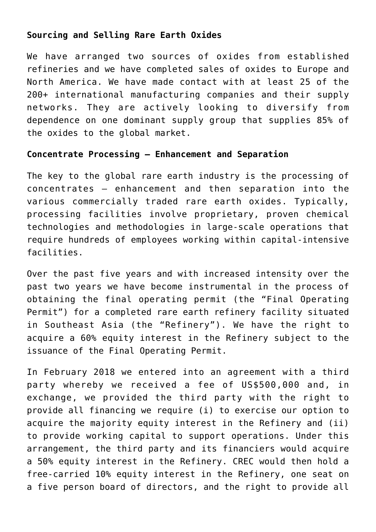### **Sourcing and Selling Rare Earth Oxides**

We have arranged two sources of oxides from established refineries and we have completed sales of oxides to Europe and North America. We have made contact with at least 25 of the 200+ international manufacturing companies and their supply networks. They are actively looking to diversify from dependence on one dominant supply group that supplies 85% of the oxides to the global market.

#### **Concentrate Processing – Enhancement and Separation**

The key to the global rare earth industry is the processing of concentrates – enhancement and then separation into the various commercially traded rare earth oxides. Typically, processing facilities involve proprietary, proven chemical technologies and methodologies in large-scale operations that require hundreds of employees working within capital-intensive facilities.

Over the past five years and with increased intensity over the past two years we have become instrumental in the process of obtaining the final operating permit (the "Final Operating Permit") for a completed rare earth refinery facility situated in Southeast Asia (the "Refinery"). We have the right to acquire a 60% equity interest in the Refinery subject to the issuance of the Final Operating Permit.

In February 2018 we entered into an agreement with a third party whereby we received a fee of US\$500,000 and, in exchange, we provided the third party with the right to provide all financing we require (i) to exercise our option to acquire the majority equity interest in the Refinery and (ii) to provide working capital to support operations. Under this arrangement, the third party and its financiers would acquire a 50% equity interest in the Refinery. CREC would then hold a free-carried 10% equity interest in the Refinery, one seat on a five person board of directors, and the right to provide all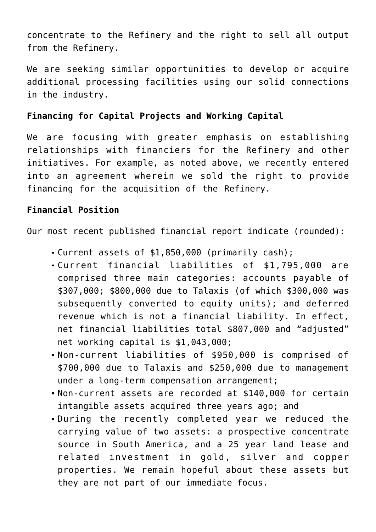concentrate to the Refinery and the right to sell all output from the Refinery.

We are seeking similar opportunities to develop or acquire additional processing facilities using our solid connections in the industry.

## **Financing for Capital Projects and Working Capital**

We are focusing with greater emphasis on establishing relationships with financiers for the Refinery and other initiatives. For example, as noted above, we recently entered into an agreement wherein we sold the right to provide financing for the acquisition of the Refinery.

### **Financial Position**

Our most recent published financial report indicate (rounded):

- Current assets of \$1,850,000 (primarily cash);
- Current financial liabilities of \$1,795,000 are comprised three main categories: accounts payable of \$307,000; \$800,000 due to Talaxis (of which \$300,000 was subsequently converted to equity units); and deferred revenue which is not a financial liability. In effect, net financial liabilities total \$807,000 and "adjusted" net working capital is \$1,043,000;
- Non-current liabilities of \$950,000 is comprised of \$700,000 due to Talaxis and \$250,000 due to management under a long-term compensation arrangement;
- Non-current assets are recorded at \$140,000 for certain intangible assets acquired three years ago; and
- During the recently completed year we reduced the carrying value of two assets: a prospective concentrate source in South America, and a 25 year land lease and related investment in gold, silver and copper properties. We remain hopeful about these assets but they are not part of our immediate focus.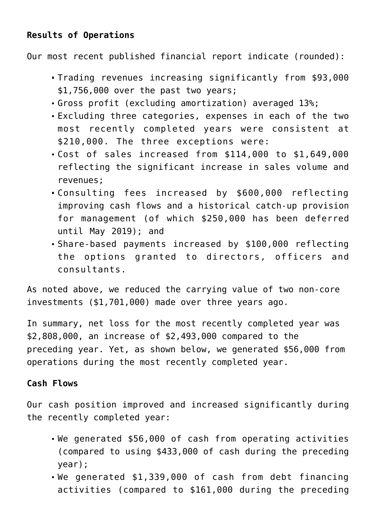# **Results of Operations**

Our most recent published financial report indicate (rounded):

- Trading revenues increasing significantly from \$93,000 \$1,756,000 over the past two years;
- Gross profit (excluding amortization) averaged 13%;
- Excluding three categories, expenses in each of the two most recently completed years were consistent at \$210,000. The three exceptions were:
- Cost of sales increased from \$114,000 to \$1,649,000 reflecting the significant increase in sales volume and revenues;
- Consulting fees increased by \$600,000 reflecting improving cash flows and a historical catch-up provision for management (of which \$250,000 has been deferred until May 2019); and
- Share-based payments increased by \$100,000 reflecting the options granted to directors, officers and consultants.

As noted above, we reduced the carrying value of two non-core investments (\$1,701,000) made over three years ago.

In summary, net loss for the most recently completed year was \$2,808,000, an increase of \$2,493,000 compared to the preceding year. Yet, as shown below, we generated \$56,000 from operations during the most recently completed year.

#### **Cash Flows**

Our cash position improved and increased significantly during the recently completed year:

- We generated \$56,000 of cash from operating activities (compared to using \$433,000 of cash during the preceding year);
- We generated \$1,339,000 of cash from debt financing activities (compared to \$161,000 during the preceding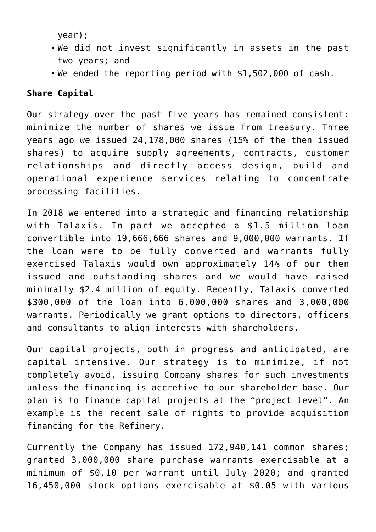year);

- We did not invest significantly in assets in the past two years; and
- We ended the reporting period with \$1,502,000 of cash.

# **Share Capital**

Our strategy over the past five years has remained consistent: minimize the number of shares we issue from treasury. Three years ago we issued 24,178,000 shares (15% of the then issued shares) to acquire supply agreements, contracts, customer relationships and directly access design, build and operational experience services relating to concentrate processing facilities.

In 2018 we entered into a strategic and financing relationship with Talaxis. In part we accepted a \$1.5 million loan convertible into 19,666,666 shares and 9,000,000 warrants. If the loan were to be fully converted and warrants fully exercised Talaxis would own approximately 14% of our then issued and outstanding shares and we would have raised minimally \$2.4 million of equity. Recently, Talaxis converted \$300,000 of the loan into 6,000,000 shares and 3,000,000 warrants. Periodically we grant options to directors, officers and consultants to align interests with shareholders.

Our capital projects, both in progress and anticipated, are capital intensive. Our strategy is to minimize, if not completely avoid, issuing Company shares for such investments unless the financing is accretive to our shareholder base. Our plan is to finance capital projects at the "project level". An example is the recent sale of rights to provide acquisition financing for the Refinery.

Currently the Company has issued 172,940,141 common shares; granted 3,000,000 share purchase warrants exercisable at a minimum of \$0.10 per warrant until July 2020; and granted 16,450,000 stock options exercisable at \$0.05 with various